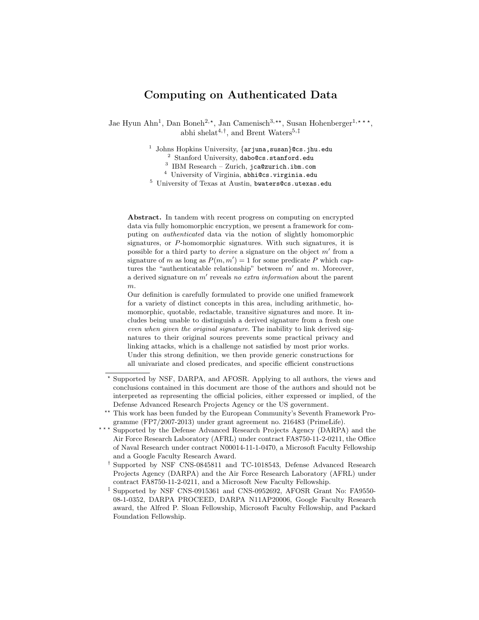# Computing on Authenticated Data

Jae Hyun Ahn<sup>1</sup>, Dan Boneh<sup>2,\*</sup>, Jan Camenisch<sup>3,\*\*</sup>, Susan Hohenberger<sup>1,\*\*\*</sup>, abhi shelat<sup>4,†</sup>, and Brent Waters<sup>5,‡</sup>

<sup>1</sup> Johns Hopkins University, {arjuna, susan}@cs.jhu.edu

<sup>2</sup> Stanford University, dabo@cs.stanford.edu

<sup>3</sup> IBM Research – Zurich, jca@zurich.ibm.com

<sup>4</sup> University of Virginia, abhi@cs.virginia.edu

<sup>5</sup> University of Texas at Austin, bwaters@cs.utexas.edu

Abstract. In tandem with recent progress on computing on encrypted data via fully homomorphic encryption, we present a framework for computing on authenticated data via the notion of slightly homomorphic signatures, or P-homomorphic signatures. With such signatures, it is possible for a third party to *derive* a signature on the object  $m'$  from a signature of m as long as  $P(m, m') = 1$  for some predicate P which captures the "authenticatable relationship" between  $m'$  and  $m$ . Moreover, a derived signature on  $m'$  reveals no extra information about the parent m.

Our definition is carefully formulated to provide one unified framework for a variety of distinct concepts in this area, including arithmetic, homomorphic, quotable, redactable, transitive signatures and more. It includes being unable to distinguish a derived signature from a fresh one even when given the original signature. The inability to link derived signatures to their original sources prevents some practical privacy and linking attacks, which is a challenge not satisfied by most prior works. Under this strong definition, we then provide generic constructions for all univariate and closed predicates, and specific efficient constructions

- Supported by the Defense Advanced Research Projects Agency (DARPA) and the Air Force Research Laboratory (AFRL) under contract FA8750-11-2-0211, the Office of Naval Research under contract N00014-11-1-0470, a Microsoft Faculty Fellowship and a Google Faculty Research Award.
- † Supported by NSF CNS-0845811 and TC-1018543, Defense Advanced Research Projects Agency (DARPA) and the Air Force Research Laboratory (AFRL) under contract FA8750-11-2-0211, and a Microsoft New Faculty Fellowship.
- ‡ Supported by NSF CNS-0915361 and CNS-0952692, AFOSR Grant No: FA9550- 08-1-0352, DARPA PROCEED, DARPA N11AP20006, Google Faculty Research award, the Alfred P. Sloan Fellowship, Microsoft Faculty Fellowship, and Packard Foundation Fellowship.

Supported by NSF, DARPA, and AFOSR. Applying to all authors, the views and conclusions contained in this document are those of the authors and should not be interpreted as representing the official policies, either expressed or implied, of the Defense Advanced Research Projects Agency or the US government.

<sup>??</sup> This work has been funded by the European Community's Seventh Framework Programme (FP7/2007-2013) under grant agreement no. 216483 (PrimeLife).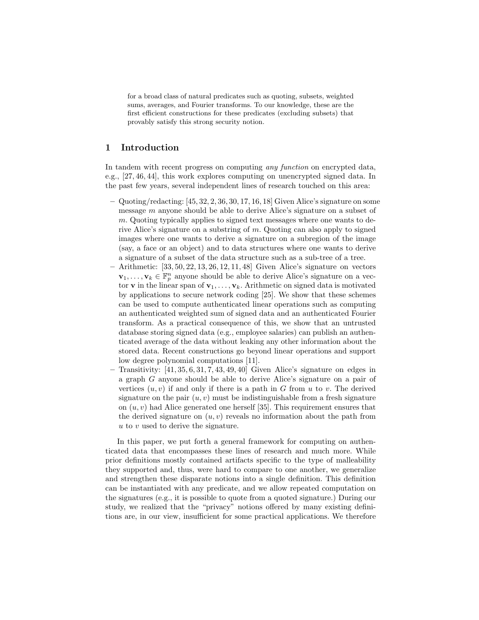for a broad class of natural predicates such as quoting, subsets, weighted sums, averages, and Fourier transforms. To our knowledge, these are the first efficient constructions for these predicates (excluding subsets) that provably satisfy this strong security notion.

# 1 Introduction

In tandem with recent progress on computing *any function* on encrypted data, e.g., [27, 46, 44], this work explores computing on unencrypted signed data. In the past few years, several independent lines of research touched on this area:

- Quoting/redacting: [45, 32, 2, 36, 30, 17, 16, 18] Given Alice's signature on some message m anyone should be able to derive Alice's signature on a subset of m. Quoting typically applies to signed text messages where one wants to derive Alice's signature on a substring of m. Quoting can also apply to signed images where one wants to derive a signature on a subregion of the image (say, a face or an object) and to data structures where one wants to derive a signature of a subset of the data structure such as a sub-tree of a tree.
- $-$  Arithmetic:  $[33, 50, 22, 13, 26, 12, 11, 48]$  Given Alice's signature on vectors  $\mathbf{v}_1, \ldots, \mathbf{v}_k \in \mathbb{F}_p^n$  anyone should be able to derive Alice's signature on a vector **v** in the linear span of  $\mathbf{v}_1, \ldots, \mathbf{v}_k$ . Arithmetic on signed data is motivated by applications to secure network coding [25]. We show that these schemes can be used to compute authenticated linear operations such as computing an authenticated weighted sum of signed data and an authenticated Fourier transform. As a practical consequence of this, we show that an untrusted database storing signed data (e.g., employee salaries) can publish an authenticated average of the data without leaking any other information about the stored data. Recent constructions go beyond linear operations and support low degree polynomial computations [11].
- Transitivity:  $[41, 35, 6, 31, 7, 43, 49, 40]$  Given Alice's signature on edges in a graph G anyone should be able to derive Alice's signature on a pair of vertices  $(u, v)$  if and only if there is a path in G from u to v. The derived signature on the pair  $(u, v)$  must be indistinguishable from a fresh signature on  $(u, v)$  had Alice generated one herself [35]. This requirement ensures that the derived signature on  $(u, v)$  reveals no information about the path from  $u$  to  $v$  used to derive the signature.

In this paper, we put forth a general framework for computing on authenticated data that encompasses these lines of research and much more. While prior definitions mostly contained artifacts specific to the type of malleability they supported and, thus, were hard to compare to one another, we generalize and strengthen these disparate notions into a single definition. This definition can be instantiated with any predicate, and we allow repeated computation on the signatures (e.g., it is possible to quote from a quoted signature.) During our study, we realized that the "privacy" notions offered by many existing definitions are, in our view, insufficient for some practical applications. We therefore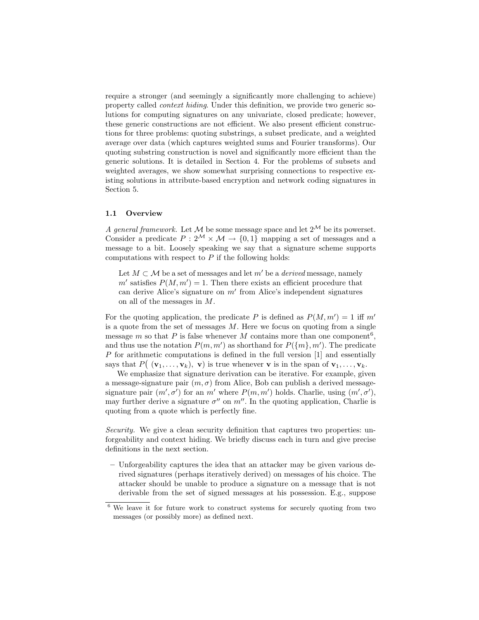require a stronger (and seemingly a significantly more challenging to achieve) property called context hiding. Under this definition, we provide two generic solutions for computing signatures on any univariate, closed predicate; however, these generic constructions are not efficient. We also present efficient constructions for three problems: quoting substrings, a subset predicate, and a weighted average over data (which captures weighted sums and Fourier transforms). Our quoting substring construction is novel and significantly more efficient than the generic solutions. It is detailed in Section 4. For the problems of subsets and weighted averages, we show somewhat surprising connections to respective existing solutions in attribute-based encryption and network coding signatures in Section 5.

#### 1.1 Overview

A general framework. Let M be some message space and let  $2^{\mathcal{M}}$  be its powerset. Consider a predicate  $P: 2^{\mathcal{M}} \times \mathcal{M} \rightarrow \{0, 1\}$  mapping a set of messages and a message to a bit. Loosely speaking we say that a signature scheme supports computations with respect to  $P$  if the following holds:

Let  $M \subset \mathcal{M}$  be a set of messages and let m' be a *derived* message, namely  $m'$  satisfies  $P(M, m') = 1$ . Then there exists an efficient procedure that can derive Alice's signature on  $m'$  from Alice's independent signatures on all of the messages in M.

For the quoting application, the predicate P is defined as  $P(M, m') = 1$  iff m' is a quote from the set of messages  $M$ . Here we focus on quoting from a single message m so that P is false whenever M contains more than one component<sup>6</sup>, and thus use the notation  $P(m, m')$  as shorthand for  $P({m, m')$ . The predicate P for arithmetic computations is defined in the full version [1] and essentially says that  $P((\mathbf{v}_1,\ldots,\mathbf{v}_k), \mathbf{v})$  is true whenever **v** is in the span of  $\mathbf{v}_1,\ldots,\mathbf{v}_k$ .

We emphasize that signature derivation can be iterative. For example, given a message-signature pair  $(m, \sigma)$  from Alice, Bob can publish a derived messagesignature pair  $(m', \sigma')$  for an m' where  $P(m, m')$  holds. Charlie, using  $(m', \sigma')$ , may further derive a signature  $\sigma''$  on  $m''$ . In the quoting application, Charlie is quoting from a quote which is perfectly fine.

Security. We give a clean security definition that captures two properties: unforgeability and context hiding. We briefly discuss each in turn and give precise definitions in the next section.

– Unforgeability captures the idea that an attacker may be given various derived signatures (perhaps iteratively derived) on messages of his choice. The attacker should be unable to produce a signature on a message that is not derivable from the set of signed messages at his possession. E.g., suppose

<sup>6</sup> We leave it for future work to construct systems for securely quoting from two messages (or possibly more) as defined next.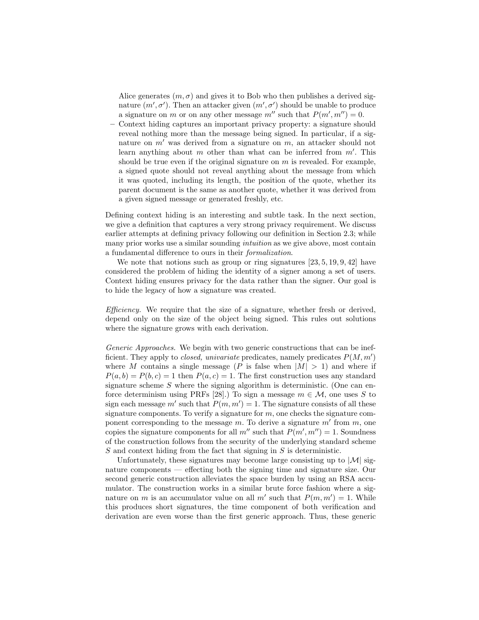Alice generates  $(m, \sigma)$  and gives it to Bob who then publishes a derived signature  $(m', \sigma')$ . Then an attacker given  $(m', \sigma')$  should be unable to produce a signature on m or on any other message  $m''$  such that  $P(m', m'') = 0$ .

– Context hiding captures an important privacy property: a signature should reveal nothing more than the message being signed. In particular, if a signature on  $m'$  was derived from a signature on  $m$ , an attacker should not learn anything about  $m$  other than what can be inferred from  $m'$ . This should be true even if the original signature on  $m$  is revealed. For example, a signed quote should not reveal anything about the message from which it was quoted, including its length, the position of the quote, whether its parent document is the same as another quote, whether it was derived from a given signed message or generated freshly, etc.

Defining context hiding is an interesting and subtle task. In the next section, we give a definition that captures a very strong privacy requirement. We discuss earlier attempts at defining privacy following our definition in Section 2.3; while many prior works use a similar sounding *intuition* as we give above, most contain a fundamental difference to ours in their formalization.

We note that notions such as group or ring signatures  $[23, 5, 19, 9, 42]$  have considered the problem of hiding the identity of a signer among a set of users. Context hiding ensures privacy for the data rather than the signer. Our goal is to hide the legacy of how a signature was created.

Efficiency. We require that the size of a signature, whether fresh or derived, depend only on the size of the object being signed. This rules out solutions where the signature grows with each derivation.

Generic Approaches. We begin with two generic constructions that can be inefficient. They apply to *closed, univariate* predicates, namely predicates  $P(M, m')$ where M contains a single message (P is false when  $|M| > 1$ ) and where if  $P(a, b) = P(b, c) = 1$  then  $P(a, c) = 1$ . The first construction uses any standard signature scheme  $S$  where the signing algorithm is deterministic. (One can enforce determinism using PRFs [28].) To sign a message  $m \in \mathcal{M}$ , one uses S to sign each message m' such that  $P(m, m') = 1$ . The signature consists of all these signature components. To verify a signature for  $m$ , one checks the signature component corresponding to the message  $m$ . To derive a signature  $m'$  from  $m$ , one copies the signature components for all  $m''$  such that  $P(m', m'') = 1$ . Soundness of the construction follows from the security of the underlying standard scheme  $S$  and context hiding from the fact that signing in  $S$  is deterministic.

Unfortunately, these signatures may become large consisting up to  $|M|$  signature components — effecting both the signing time and signature size. Our second generic construction alleviates the space burden by using an RSA accumulator. The construction works in a similar brute force fashion where a signature on m is an accumulator value on all m' such that  $P(m, m') = 1$ . While this produces short signatures, the time component of both verification and derivation are even worse than the first generic approach. Thus, these generic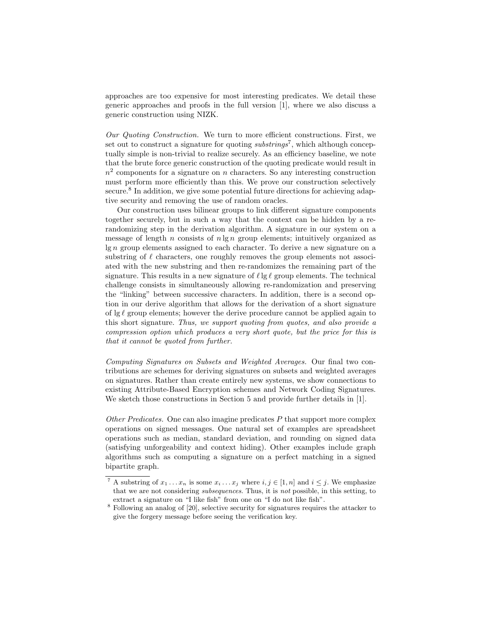approaches are too expensive for most interesting predicates. We detail these generic approaches and proofs in the full version [1], where we also discuss a generic construction using NIZK.

Our Quoting Construction. We turn to more efficient constructions. First, we set out to construct a signature for quoting  $substrings^7$ , which although conceptually simple is non-trivial to realize securely. As an efficiency baseline, we note that the brute force generic construction of the quoting predicate would result in  $n<sup>2</sup>$  components for a signature on n characters. So any interesting construction must perform more efficiently than this. We prove our construction selectively secure.<sup>8</sup> In addition, we give some potential future directions for achieving adaptive security and removing the use of random oracles.

Our construction uses bilinear groups to link different signature components together securely, but in such a way that the context can be hidden by a rerandomizing step in the derivation algorithm. A signature in our system on a message of length n consists of  $n \lg n$  group elements; intuitively organized as lg n group elements assigned to each character. To derive a new signature on a substring of  $\ell$  characters, one roughly removes the group elements not associated with the new substring and then re-randomizes the remaining part of the signature. This results in a new signature of  $\ell \lg \ell$  group elements. The technical challenge consists in simultaneously allowing re-randomization and preserving the "linking" between successive characters. In addition, there is a second option in our derive algorithm that allows for the derivation of a short signature of  $\lg \ell$  group elements; however the derive procedure cannot be applied again to this short signature. Thus, we support quoting from quotes, and also provide a compression option which produces a very short quote, but the price for this is that it cannot be quoted from further.

Computing Signatures on Subsets and Weighted Averages. Our final two contributions are schemes for deriving signatures on subsets and weighted averages on signatures. Rather than create entirely new systems, we show connections to existing Attribute-Based Encryption schemes and Network Coding Signatures. We sketch those constructions in Section 5 and provide further details in [1].

Other Predicates. One can also imagine predicates  $P$  that support more complex operations on signed messages. One natural set of examples are spreadsheet operations such as median, standard deviation, and rounding on signed data (satisfying unforgeability and context hiding). Other examples include graph algorithms such as computing a signature on a perfect matching in a signed bipartite graph.

<sup>&</sup>lt;sup>7</sup> A substring of  $x_1 \ldots x_n$  is some  $x_i \ldots x_j$  where  $i, j \in [1, n]$  and  $i \leq j$ . We emphasize that we are not considering subsequences. Thus, it is not possible, in this setting, to extract a signature on "I like fish" from one on "I do not like fish".

<sup>8</sup> Following an analog of [20], selective security for signatures requires the attacker to give the forgery message before seeing the verification key.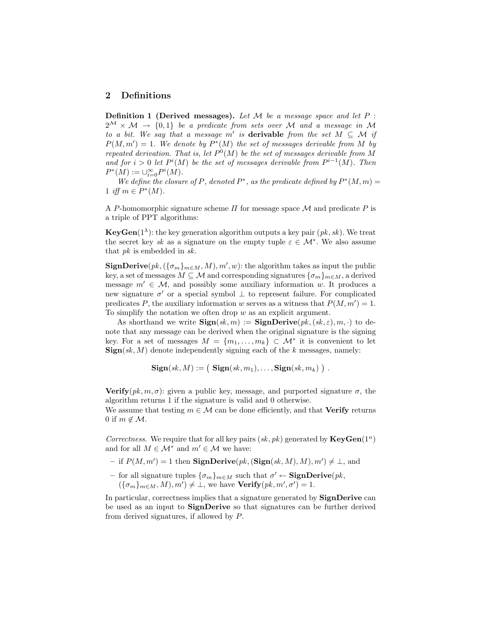# 2 Definitions

**Definition 1 (Derived messages).** Let  $M$  be a message space and let  $P$ :  $2^{\mathcal{M}} \times \mathcal{M} \rightarrow \{0,1\}$  be a predicate from sets over M and a message in M to a bit. We say that a message m' is **derivable** from the set  $M \subseteq \mathcal{M}$  if  $P(M, m') = 1$ . We denote by  $P^*(M)$  the set of messages derivable from M by repeated derivation. That is, let  $P^0(M)$  be the set of messages derivable from M and for  $i > 0$  let  $P^{i}(M)$  be the set of messages derivable from  $P^{i-1}(M)$ . Then  $P^*(M) := \cup_{i=0}^{\infty} P^i(M).$ 

We define the closure of P, denoted  $P^*$ , as the predicate defined by  $P^*(M,m)$  = 1 iff  $m \in P^*(M)$ .

A P-homomorphic signature scheme  $\Pi$  for message space M and predicate P is a triple of PPT algorithms:

**KeyGen**( $1^{\lambda}$ ): the key generation algorithm outputs a key pair  $(pk, sk)$ . We treat the secret key sk as a signature on the empty tuple  $\varepsilon \in \mathcal{M}^*$ . We also assume that pk is embedded in sk.

**SignDerive** $(pk, (\{\sigma_m\}_{m \in M}, M), m', w)$ : the algorithm takes as input the public key, a set of messages  $M \subseteq \mathcal{M}$  and corresponding signatures  $\{\sigma_m\}_{m \in M}$ , a derived message  $m' \in \mathcal{M}$ , and possibly some auxiliary information w. It produces a new signature  $\sigma'$  or a special symbol  $\perp$  to represent failure. For complicated predicates P, the auxiliary information w serves as a witness that  $P(M, m') = 1$ . To simplify the notation we often drop  $w$  as an explicit argument.

As shorthand we write  $\text{Sign}(sk, m) := \text{SignDerive}(pk, (sk, \varepsilon), m, \cdot)$  to denote that any message can be derived when the original signature is the signing key. For a set of messages  $M = \{m_1, \ldots, m_k\} \subset \mathcal{M}^*$  it is convenient to let  $\textbf{Sign}(sk, M)$  denote independently signing each of the k messages, namely:

 $\mathbf{Sign}(sk,M):= \left( \begin{array}{c} \mathbf{Sign}(sk,m_1), \ldots, \mathbf{Sign}(sk,m_k) \end{array} \right) \, .$ 

**Verify** $(pk, m, \sigma)$ : given a public key, message, and purported signature  $\sigma$ , the algorithm returns 1 if the signature is valid and 0 otherwise.

We assume that testing  $m \in \mathcal{M}$  can be done efficiently, and that **Verify** returns 0 if  $m \notin \mathcal{M}$ .

Correctness. We require that for all key pairs  $(sk, pk)$  generated by  $\textbf{KeyGen}(1^n)$ and for all  $M \in \mathcal{M}^*$  and  $m' \in \mathcal{M}$  we have:

- if  $P(M, m') = 1$  then **SignDerive** $(pk, (Sign(sk, M), M), m') \neq \bot$ , and
- for all signature tuples  $\{\sigma_m\}_{m\in M}$  such that  $\sigma' \leftarrow$  **SignDerive** $(pk,$  $({\{\sigma_m\}}_{m \in M}, M), m') \neq \bot$ , we have  $\textbf{Verify}(pk, m', \sigma') = 1$ .

In particular, correctness implies that a signature generated by **SignDerive** can be used as an input to SignDerive so that signatures can be further derived from derived signatures, if allowed by P.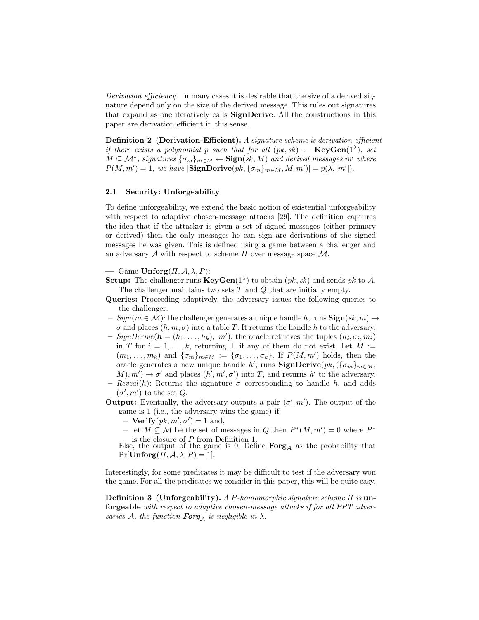Derivation efficiency. In many cases it is desirable that the size of a derived signature depend only on the size of the derived message. This rules out signatures that expand as one iteratively calls SignDerive. All the constructions in this paper are derivation efficient in this sense.

Definition 2 (Derivation-Efficient). A signature scheme is derivation-efficient if there exists a polynomial p such that for all  $(pk, sk) \leftarrow \textbf{KeyGen}(1^{\lambda})$ , set  $M \subseteq \mathcal{M}^*$ , signatures  $\{\sigma_m\}_{m \in M} \leftarrow \textbf{Sign}(sk, M)$  and derived messages m' where  $P(M, m') = 1$ , we have  $|\textbf{SignDerive}(pk, {\{\sigma_m\}}_{m \in M}, M, m')| = p(\lambda, |m'|)$ .

#### 2.1 Security: Unforgeability

To define unforgeability, we extend the basic notion of existential unforgeability with respect to adaptive chosen-message attacks [29]. The definition captures the idea that if the attacker is given a set of signed messages (either primary or derived) then the only messages he can sign are derivations of the signed messages he was given. This is defined using a game between a challenger and an adversary  $A$  with respect to scheme  $\Pi$  over message space  $M$ .

# — Game  $\text{Unforg}(H, \mathcal{A}, \lambda, P)$ :

- **Setup:** The challenger runs  $\mathbf{KeyGen}(1^{\lambda})$  to obtain  $(pk, sk)$  and sends pk to A. The challenger maintains two sets  $T$  and  $Q$  that are initially empty.
- Queries: Proceeding adaptively, the adversary issues the following queries to the challenger:
- $-$  Sign( $m \in \mathcal{M}$ ): the challenger generates a unique handle h, runs  $\text{Sign}(sk, m) \rightarrow$  $\sigma$  and places  $(h, m, \sigma)$  into a table T. It returns the handle h to the adversary.
- SignDerive( $\mathbf{h} = (h_1, \ldots, h_k), \; m'$ ): the oracle retrieves the tuples  $(h_i, \sigma_i, m_i)$ in T for  $i = 1, ..., k$ , returning  $\perp$  if any of them do not exist. Let M :=  $(m_1, \ldots, m_k)$  and  $\{\sigma_m\}_{m \in M} := \{\sigma_1, \ldots, \sigma_k\}$ . If  $P(M, m')$  holds, then the oracle generates a new unique handle h', runs  $\mathbf{SignDerive}(pk, (\{\sigma_m\}_{m \in M},$  $(M), m' \rightarrow \sigma'$  and places  $(h', m', \sigma')$  into T, and returns h' to the adversary.
- Reveal(h): Returns the signature  $\sigma$  corresponding to handle h, and adds  $(\sigma', m')$  to the set Q.
- **Output:** Eventually, the adversary outputs a pair  $(\sigma', m')$ . The output of the game is 1 (i.e., the adversary wins the game) if:
	- $\text{Verify}(pk, m', \sigma') = 1 \text{ and,}$
	- − let  $M \subseteq M$  be the set of messages in Q then  $P^*(M, m') = 0$  where  $P^*$

is the closure of P from Definition 1.<br>Else, the output of the game is 0. Define  $\text{Forg}_{\mathcal{A}}$  as the probability that  $Pr[\text{Unforg}(H, \mathcal{A}, \lambda, P) = 1].$ 

Interestingly, for some predicates it may be difficult to test if the adversary won the game. For all the predicates we consider in this paper, this will be quite easy.

**Definition 3 (Unforgeability).** A P-homomorphic signature scheme  $\Pi$  is unforgeable with respect to adaptive chosen-message attacks if for all PPT adversaries A, the function **Forg**<sub>A</sub> is negligible in  $\lambda$ .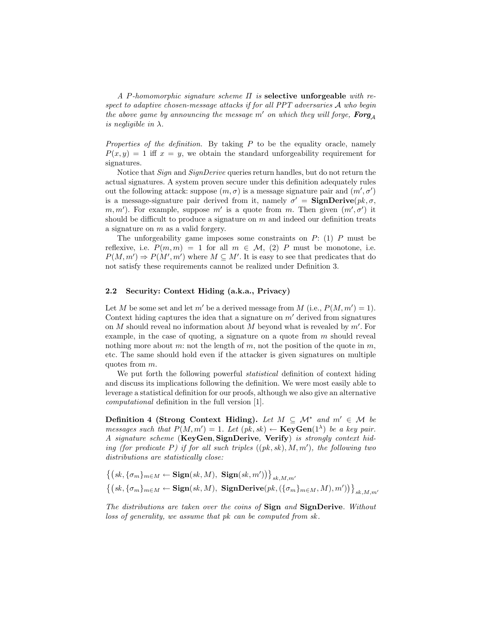A P-homomorphic signature scheme  $\Pi$  is **selective unforgeable** with respect to adaptive chosen-message attacks if for all PPT adversaries A who begin the above game by announcing the message m' on which they will forge,  $\text{Forg}_A$ is negligible in  $\lambda$ .

Properties of the definition. By taking  $P$  to be the equality oracle, namely  $P(x, y) = 1$  iff  $x = y$ , we obtain the standard unforgeability requirement for signatures.

Notice that Sign and SignDerive queries return handles, but do not return the actual signatures. A system proven secure under this definition adequately rules out the following attack: suppose  $(m, \sigma)$  is a message signature pair and  $(m', \sigma')$ is a message-signature pair derived from it, namely  $\sigma' = \text{SignDerive}(pk, \sigma,$ m, m'). For example, suppose m' is a quote from m. Then given  $(m', \sigma')$  it should be difficult to produce a signature on  $m$  and indeed our definition treats a signature on  $m$  as a valid forgery.

The unforgeability game imposes some constraints on  $P: (1)$  P must be reflexive, i.e.  $P(m, m) = 1$  for all  $m \in \mathcal{M}$ , (2) P must be monotone, i.e.  $P(M, m') \Rightarrow P(M', m')$  where  $M \subseteq M'$ . It is easy to see that predicates that do not satisfy these requirements cannot be realized under Definition 3.

#### 2.2 Security: Context Hiding (a.k.a., Privacy)

Let M be some set and let m' be a derived message from M (i.e.,  $P(M, m') = 1$ ). Context hiding captures the idea that a signature on  $m'$  derived from signatures on  $M$  should reveal no information about  $M$  beyond what is revealed by  $m'$ . For example, in the case of quoting, a signature on a quote from  $m$  should reveal nothing more about m: not the length of m, not the position of the quote in  $m$ , etc. The same should hold even if the attacker is given signatures on multiple quotes from m.

We put forth the following powerful *statistical* definition of context hiding and discuss its implications following the definition. We were most easily able to leverage a statistical definition for our proofs, although we also give an alternative computational definition in the full version [1].

Definition 4 (Strong Context Hiding). Let  $M \subseteq \mathcal{M}^*$  and  $m' \in \mathcal{M}$  be messages such that  $P(M, m') = 1$ . Let  $(pk, sk) \leftarrow \text{KeyGen}(1^{\lambda})$  be a key pair. A signature scheme (KeyGen, SignDerive, Verify) is strongly context hiding (for predicate P) if for all such triples  $((pk, sk), M, m')$ , the following two distributions are statistically close:

$$
\begin{aligned} &\left\{(sk, \{\sigma_m\}_{m\in M} \leftarrow \mathbf{Sign}(sk, M), \ \mathbf{Sign}(sk, m')\right)\right\}_{sk, M, m'} \\ &\left\{(sk, \{\sigma_m\}_{m\in M} \leftarrow \mathbf{Sign}(sk, M), \ \mathbf{SignDerive}(pk, (\{\sigma_m\}_{m\in M}, M), m')\right)\right\}_{sk, M, m'} \end{aligned}
$$

The distributions are taken over the coins of Sign and SignDerive. Without loss of generality, we assume that pk can be computed from sk.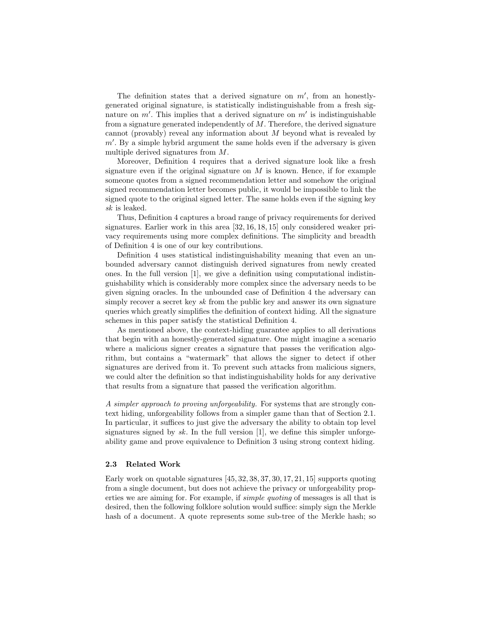The definition states that a derived signature on  $m'$ , from an honestlygenerated original signature, is statistically indistinguishable from a fresh signature on  $m'$ . This implies that a derived signature on  $m'$  is indistinguishable from a signature generated independently of  $M$ . Therefore, the derived signature cannot (provably) reveal any information about  $M$  beyond what is revealed by  $m'$ . By a simple hybrid argument the same holds even if the adversary is given multiple derived signatures from M.

Moreover, Definition 4 requires that a derived signature look like a fresh signature even if the original signature on  $M$  is known. Hence, if for example someone quotes from a signed recommendation letter and somehow the original signed recommendation letter becomes public, it would be impossible to link the signed quote to the original signed letter. The same holds even if the signing key sk is leaked.

Thus, Definition 4 captures a broad range of privacy requirements for derived signatures. Earlier work in this area [32, 16, 18, 15] only considered weaker privacy requirements using more complex definitions. The simplicity and breadth of Definition 4 is one of our key contributions.

Definition 4 uses statistical indistinguishability meaning that even an unbounded adversary cannot distinguish derived signatures from newly created ones. In the full version [1], we give a definition using computational indistinguishability which is considerably more complex since the adversary needs to be given signing oracles. In the unbounded case of Definition 4 the adversary can simply recover a secret key  $sk$  from the public key and answer its own signature queries which greatly simplifies the definition of context hiding. All the signature schemes in this paper satisfy the statistical Definition 4.

As mentioned above, the context-hiding guarantee applies to all derivations that begin with an honestly-generated signature. One might imagine a scenario where a malicious signer creates a signature that passes the verification algorithm, but contains a "watermark" that allows the signer to detect if other signatures are derived from it. To prevent such attacks from malicious signers, we could alter the definition so that indistinguishability holds for any derivative that results from a signature that passed the verification algorithm.

A simpler approach to proving unforgeability. For systems that are strongly context hiding, unforgeability follows from a simpler game than that of Section 2.1. In particular, it suffices to just give the adversary the ability to obtain top level signatures signed by sk. In the full version [1], we define this simpler unforgeability game and prove equivalence to Definition 3 using strong context hiding.

## 2.3 Related Work

Early work on quotable signatures [45, 32, 38, 37, 30, 17, 21, 15] supports quoting from a single document, but does not achieve the privacy or unforgeability properties we are aiming for. For example, if simple quoting of messages is all that is desired, then the following folklore solution would suffice: simply sign the Merkle hash of a document. A quote represents some sub-tree of the Merkle hash; so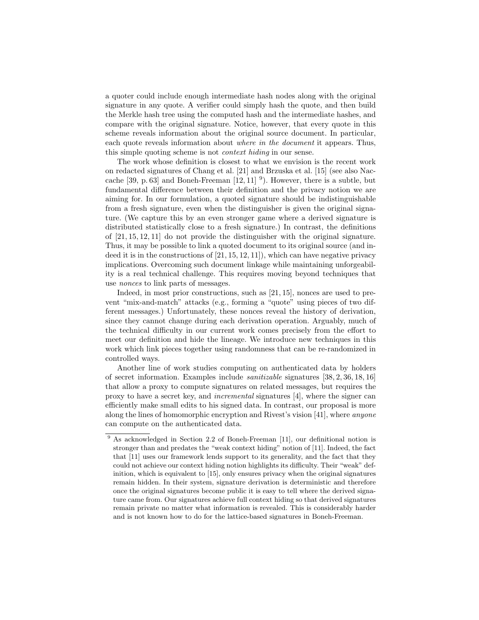a quoter could include enough intermediate hash nodes along with the original signature in any quote. A verifier could simply hash the quote, and then build the Merkle hash tree using the computed hash and the intermediate hashes, and compare with the original signature. Notice, however, that every quote in this scheme reveals information about the original source document. In particular, each quote reveals information about where in the document it appears. Thus, this simple quoting scheme is not context hiding in our sense.

The work whose definition is closest to what we envision is the recent work on redacted signatures of Chang et al. [21] and Brzuska et al. [15] (see also Naccache [39, p. 63] and Boneh-Freeman  $[12, 11]$ <sup>9</sup>). However, there is a subtle, but fundamental difference between their definition and the privacy notion we are aiming for. In our formulation, a quoted signature should be indistinguishable from a fresh signature, even when the distinguisher is given the original signature. (We capture this by an even stronger game where a derived signature is distributed statistically close to a fresh signature.) In contrast, the definitions of [21, 15, 12, 11] do not provide the distinguisher with the original signature. Thus, it may be possible to link a quoted document to its original source (and indeed it is in the constructions of  $[21, 15, 12, 11]$ , which can have negative privacy implications. Overcoming such document linkage while maintaining unforgeability is a real technical challenge. This requires moving beyond techniques that use nonces to link parts of messages.

Indeed, in most prior constructions, such as [21, 15], nonces are used to prevent "mix-and-match" attacks (e.g., forming a "quote" using pieces of two different messages.) Unfortunately, these nonces reveal the history of derivation, since they cannot change during each derivation operation. Arguably, much of the technical difficulty in our current work comes precisely from the effort to meet our definition and hide the lineage. We introduce new techniques in this work which link pieces together using randomness that can be re-randomized in controlled ways.

Another line of work studies computing on authenticated data by holders of secret information. Examples include sanitizable signatures [38, 2, 36, 18, 16] that allow a proxy to compute signatures on related messages, but requires the proxy to have a secret key, and incremental signatures [4], where the signer can efficiently make small edits to his signed data. In contrast, our proposal is more along the lines of homomorphic encryption and Rivest's vision [41], where anyone can compute on the authenticated data.

<sup>&</sup>lt;sup>9</sup> As acknowledged in Section 2.2 of Boneh-Freeman [11], our definitional notion is stronger than and predates the "weak context hiding" notion of [11]. Indeed, the fact that [11] uses our framework lends support to its generality, and the fact that they could not achieve our context hiding notion highlights its difficulty. Their "weak" definition, which is equivalent to [15], only ensures privacy when the original signatures remain hidden. In their system, signature derivation is deterministic and therefore once the original signatures become public it is easy to tell where the derived signature came from. Our signatures achieve full context hiding so that derived signatures remain private no matter what information is revealed. This is considerably harder and is not known how to do for the lattice-based signatures in Boneh-Freeman.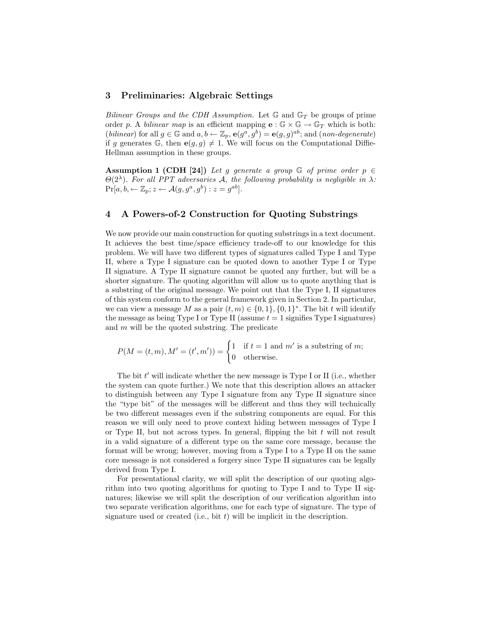## 3 Preliminaries: Algebraic Settings

Bilinear Groups and the CDH Assumption. Let  $\mathbb{G}$  and  $\mathbb{G}_T$  be groups of prime order p. A bilinear map is an efficient mapping  $e : \mathbb{G} \times \mathbb{G} \to \mathbb{G}_T$  which is both: (*bilinear*) for all  $g \in \mathbb{G}$  and  $a, b \leftarrow \mathbb{Z}_p$ ,  $e(g^a, g^b) = e(g, g)^{ab}$ ; and (*non-degenerate*) if g generates G, then  $e(g, g) \neq 1$ . We will focus on the Computational Diffie-Hellman assumption in these groups.

Assumption 1 (CDH [24]) Let g generate a group  $\mathbb G$  of prime order  $p \in$  $\Theta(2^{\lambda})$ . For all PPT adversaries A, the following probability is negligible in  $\lambda$ :  $\Pr[a, b, \leftarrow \mathbb{Z}_p; z \leftarrow \mathcal{A}(g, g^a, g^b): z = g^{ab}].$ 

## 4 A Powers-of-2 Construction for Quoting Substrings

We now provide our main construction for quoting substrings in a text document. It achieves the best time/space efficiency trade-off to our knowledge for this problem. We will have two different types of signatures called Type I and Type II, where a Type I signature can be quoted down to another Type I or Type II signature. A Type II signature cannot be quoted any further, but will be a shorter signature. The quoting algorithm will allow us to quote anything that is a substring of the original message. We point out that the Type I, II signatures of this system conform to the general framework given in Section 2. In particular, we can view a message M as a pair  $(t, m) \in \{0, 1\}$ ,  $\{0, 1\}^*$ . The bit t will identify the message as being Type I or Type II (assume  $t = 1$  signifies Type I signatures) and  $m$  will be the quoted substring. The predicate

$$
P(M = (t, m), M' = (t', m')) = \begin{cases} 1 & \text{if } t = 1 \text{ and } m' \text{ is a substring of } m; \\ 0 & \text{otherwise.} \end{cases}
$$

The bit  $t'$  will indicate whether the new message is Type I or II (i.e., whether the system can quote further.) We note that this description allows an attacker to distinguish between any Type I signature from any Type II signature since the "type bit" of the messages will be different and thus they will technically be two different messages even if the substring components are equal. For this reason we will only need to prove context hiding between messages of Type I or Type II, but not across types. In general, flipping the bit  $t$  will not result in a valid signature of a different type on the same core message, because the format will be wrong; however, moving from a Type I to a Type II on the same core message is not considered a forgery since Type II signatures can be legally derived from Type I.

For presentational clarity, we will split the description of our quoting algorithm into two quoting algorithms for quoting to Type I and to Type II signatures; likewise we will split the description of our verification algorithm into two separate verification algorithms, one for each type of signature. The type of signature used or created (i.e., bit  $t$ ) will be implicit in the description.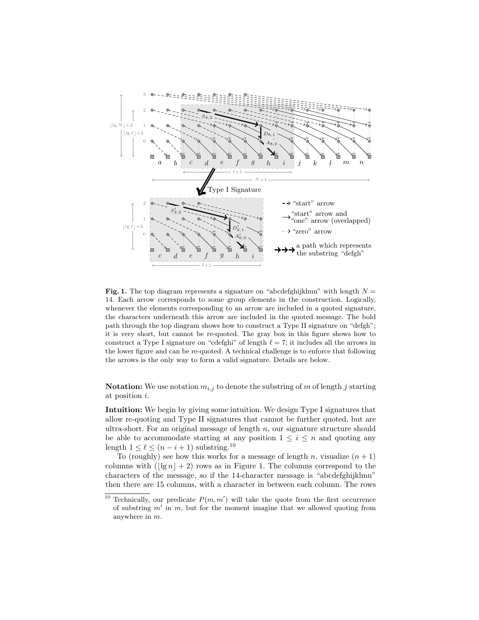

Fig. 1. The top diagram represents a signature on "abcdefghijklmn" with length  $N =$ 14. Each arrow corresponds to some group elements in the construction. Logically, whenever the elements corresponding to an arrow are included in a quoted signature, the characters underneath this arrow are included in the quoted message. The bold path through the top diagram shows how to construct a Type II signature on "defgh"; it is very short, but cannot be re-quoted. The gray box in this figure shows how to construct a Type I signature on "cdefghi" of length  $\ell = 7$ ; it includes all the arrows in the lower figure and can be re-quoted. A technical challenge is to enforce that following the arrows is the only way to form a valid signature. Details are below.

**Notation:** We use notation  $m_{i,j}$  to denote the substring of m of length j starting at position i.

Intuition: We begin by giving some intuition. We design Type I signatures that allow re-quoting and Type II signatures that cannot be further quoted, but are ultra-short. For an original message of length  $n$ , our signature structure should be able to accommodate starting at any position  $1 \leq i \leq n$  and quoting any length  $1 \leq \ell \leq (n - i + 1)$  substring.<sup>10</sup>

To (roughly) see how this works for a message of length n, visualize  $(n + 1)$ columns with  $(\frac{|\lg n| + 2}{n})$  rows as in Figure 1. The columns correspond to the characters of the message, so if the 14-character message is "abcdefghijklmn" then there are 15 columns, with a character in between each column. The rows

<sup>&</sup>lt;sup>10</sup> Technically, our predicate  $P(m, m')$  will take the quote from the first occurrence of substring  $m'$  in  $m$ , but for the moment imagine that we allowed quoting from anywhere in m.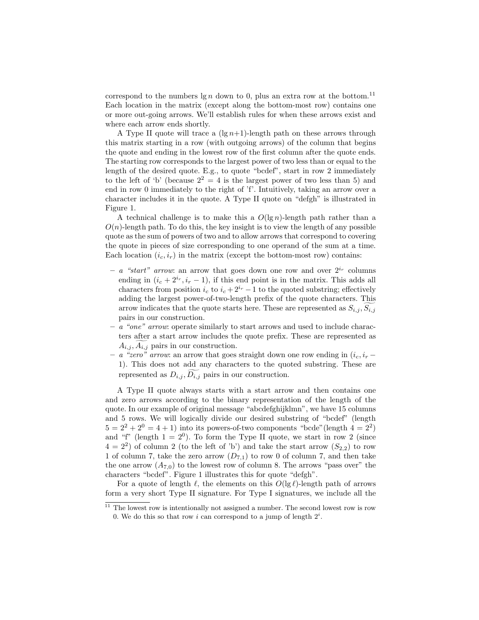correspond to the numbers  $\lg n$  down to 0, plus an extra row at the bottom.<sup>11</sup> Each location in the matrix (except along the bottom-most row) contains one or more out-going arrows. We'll establish rules for when these arrows exist and where each arrow ends shortly.

A Type II quote will trace a  $(\lg n+1)$ -length path on these arrows through this matrix starting in a row (with outgoing arrows) of the column that begins the quote and ending in the lowest row of the first column after the quote ends. The starting row corresponds to the largest power of two less than or equal to the length of the desired quote. E.g., to quote "bcdef", start in row 2 immediately to the left of 'b' (because  $2^2 = 4$  is the largest power of two less than 5) and end in row 0 immediately to the right of 'f'. Intuitively, taking an arrow over a character includes it in the quote. A Type II quote on "defgh" is illustrated in Figure 1.

A technical challenge is to make this a  $O(\lg n)$ -length path rather than a  $O(n)$ -length path. To do this, the key insight is to view the length of any possible quote as the sum of powers of two and to allow arrows that correspond to covering the quote in pieces of size corresponding to one operand of the sum at a time. Each location  $(i_c, i_r)$  in the matrix (except the bottom-most row) contains:

- a "start" arrow: an arrow that goes down one row and over  $2^{i_r}$  columns ending in  $(i_c + 2^{i_r}, i_r - 1)$ , if this end point is in the matrix. This adds all characters from position  $i_c$  to  $i_c + 2^{i_r} - 1$  to the quoted substring; effectively adding the largest power-of-two-length prefix of the quote characters. This arrow indicates that the quote starts here. These are represented as  $S_{i,j}, S_{i,j}$ pairs in our construction.
- a "one" arrow: operate similarly to start arrows and used to include characters after a start arrow includes the quote prefix. These are represented as  $A_{i,j}, A_{i,j}$  pairs in our construction.
- a "zero" arrow: an arrow that goes straight down one row ending in  $(i_c, i_r$  − 1). This does not add any characters to the quoted substring. These are represented as  $D_{i,j}, \overline{D_{i,j}}$  pairs in our construction.

A Type II quote always starts with a start arrow and then contains one and zero arrows according to the binary representation of the length of the quote. In our example of original message "abcdefghijklmn", we have 15 columns and 5 rows. We will logically divide our desired substring of "bcdef" (length  $5 = 2^2 + 2^0 = 4 + 1$ ) into its powers-of-two components "bcde" (length  $4 = 2^2$ ) and "f" (length  $1 = 2^0$ ). To form the Type II quote, we start in row 2 (since  $(4-2^2)$  of column 2 (to the left of 'b') and take the start arrow  $(S_{2,2})$  to row 1 of column 7, take the zero arrow  $(D_{7,1})$  to row 0 of column 7, and then take the one arrow  $(A_{7,0})$  to the lowest row of column 8. The arrows "pass over" the characters "bcdef". Figure 1 illustrates this for quote "defgh".

For a quote of length  $\ell$ , the elements on this  $O(\lg \ell)$ -length path of arrows form a very short Type II signature. For Type I signatures, we include all the

 $11$  The lowest row is intentionally not assigned a number. The second lowest row is row 0. We do this so that row i can correspond to a jump of length  $2^i$ .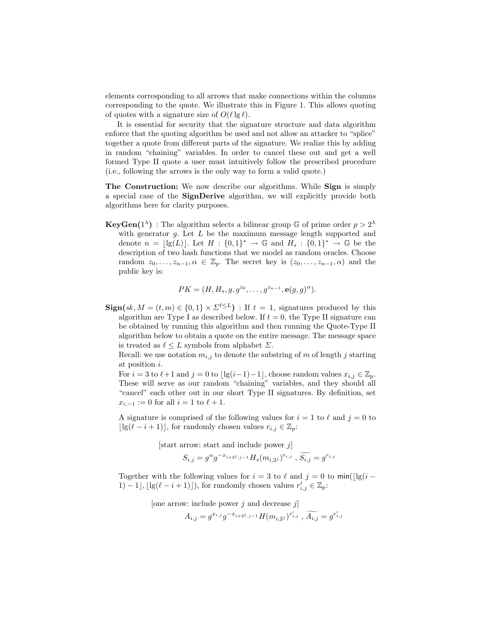elements corresponding to all arrows that make connections within the columns corresponding to the quote. We illustrate this in Figure 1. This allows quoting of quotes with a signature size of  $O(\ell \lg \ell)$ .

It is essential for security that the signature structure and data algorithm enforce that the quoting algorithm be used and not allow an attacker to "splice" together a quote from different parts of the signature. We realize this by adding in random "chaining" variables. In order to cancel these out and get a well formed Type II quote a user must intuitively follow the prescribed procedure (i.e., following the arrows is the only way to form a valid quote.)

The Construction: We now describe our algorithms. While Sign is simply a special case of the SignDerive algorithm, we will explicitly provide both algorithms here for clarity purposes.

**KeyGen**(1<sup> $\lambda$ </sup>) : The algorithm selects a bilinear group G of prime order  $p > 2^{\lambda}$ with generator  $g$ . Let  $L$  be the maximum message length supported and denote  $n = \lfloor \lg(L) \rfloor$ . Let  $H : \{0,1\}^* \to \mathbb{G}$  and  $H_s : \{0,1\}^* \to \mathbb{G}$  be the description of two hash functions that we model as random oracles. Choose random  $z_0, \ldots, z_{n-1}, \alpha \in \mathbb{Z}_p$ . The secret key is  $(z_0, \ldots, z_{n-1}, \alpha)$  and the public key is:

$$
PK = (H, H_s, g, g^{z_0}, \dots, g^{z_{n-1}}, e(g, g)^{\alpha}).
$$

 $\textbf{Sign}(sk, M = (t, m) \in \{0, 1\} \times \Sigma^{\ell \leq L})$ : If  $t = 1$ , signatures produced by this algorithm are Type I as described below. If  $t = 0$ , the Type II signature can be obtained by running this algorithm and then running the Quote-Type II algorithm below to obtain a quote on the entire message. The message space is treated as  $\ell \leq L$  symbols from alphabet  $\Sigma$ .

Recall: we use notation  $m_{i,j}$  to denote the substring of m of length j starting at position i.

For  $i = 3$  to  $\ell+1$  and  $j = 0$  to  $\lfloor \lg(i-1)-1 \rfloor$ , choose random values  $x_{i,j} \in \mathbb{Z}_p$ . These will serve as our random "chaining" variables, and they should all "cancel" each other out in our short Type II signatures. By definition, set  $x_{i,-1} := 0$  for all  $i = 1$  to  $\ell + 1$ .

A signature is comprised of the following values for  $i = 1$  to  $\ell$  and  $j = 0$  to  $\lfloor \lg(\ell - i + 1) \rfloor$ , for randomly chosen values  $r_{i,j} \in \mathbb{Z}_p$ :

[start arrow: start and include power  $j$ ]

$$
S_{i,j} = g^{\alpha} g^{-x_{i+2^j,j-1}} H_s(m_{i,2^j})^{r_{i,j}}, \widetilde{S_{i,j}} = g^{r_{i,j}}
$$

Together with the following values for  $i = 3$  to  $\ell$  and  $j = 0$  to min( $\lg(i -$ 1) – 1],  $\lfloor \lg(\ell - i + 1) \rfloor$ , for randomly chosen values  $r'_{i,j} \in \mathbb{Z}_p$ :

[one arrow: include power  $j$  and decrease  $j$ ]

$$
A_{i,j} = g^{x_{i,j}} g^{-x_{i+2^j,j-1}} H(m_{i,2^j})^{r'_{i,j}}, \widetilde{A_{i,j}} = g^{r'_{i,j}}
$$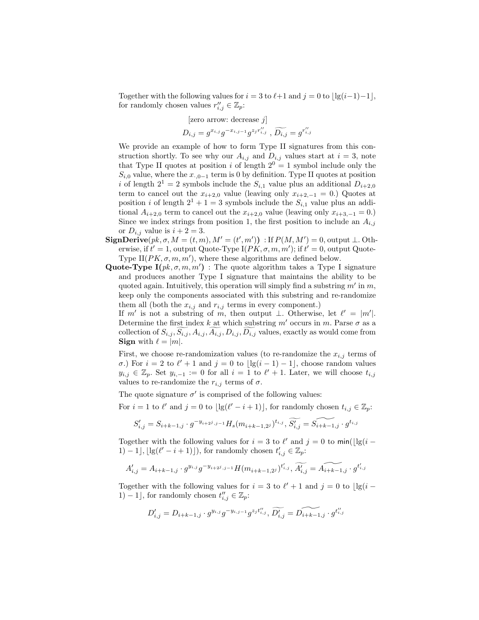Together with the following values for  $i = 3$  to  $\ell+1$  and  $j = 0$  to  $\left| \lg(i-1)-1 \right|$ , for randomly chosen values  $r''_{i,j} \in \mathbb{Z}_p$ :

[zero arrow: decrease j]  

$$
D_{i,j}=g^{x_{i,j}}g^{-x_{i,j-1}}g^{z_jr''_{i,j}}, \widetilde{D_{i,j}}=g^{r''_{i,j}}
$$

We provide an example of how to form Type II signatures from this construction shortly. To see why our  $A_{i,j}$  and  $D_{i,j}$  values start at  $i = 3$ , note that Type II quotes at position i of length  $2^0 = 1$  symbol include only the  $S_{i,0}$  value, where the  $x_{0-1}$  term is 0 by definition. Type II quotes at position i of length  $2^1 = 2$  symbols include the  $S_{i,1}$  value plus an additional  $D_{i+2,0}$ term to cancel out the  $x_{i+2,0}$  value (leaving only  $x_{i+2,-1} = 0$ .) Quotes at position *i* of length  $2^1 + 1 = 3$  symbols include the  $S_{i,1}$  value plus an additional  $A_{i+2,0}$  term to cancel out the  $x_{i+2,0}$  value (leaving only  $x_{i+3,-1} = 0$ .) Since we index strings from position 1, the first position to include an  $A_{i,j}$ or  $D_{i,j}$  value is  $i + 2 = 3$ .

- $\mathbf{SignDerive}(pk, \sigma, M = (t, m), M' = (t', m'))$ : If  $P(M, M') = 0$ , output  $\perp$ . Otherwise, if  $t' = 1$ , output Quote-Type I( $PK, \sigma, m, m'$ ); if  $t' = 0$ , output Quote-Type II( $PK, \sigma, m, m'$ ), where these algorithms are defined below.
- Quote-Type  $I(pk, \sigma, m, m')$ : The quote algorithm takes a Type I signature and produces another Type I signature that maintains the ability to be quoted again. Intuitively, this operation will simply find a substring  $m'$  in  $m$ , keep only the components associated with this substring and re-randomize them all (both the  $x_{i,j}$  and  $r_{i,j}$  terms in every component.)

If m' is not a substring of m, then output  $\perp$ . Otherwise, let  $\ell' = |m'|$ . Determine the first index k at which substring  $m'$  occurs in m. Parse  $\sigma$  as a collection of  $S_{i,j}, S_{i,j}, A_{i,j}, A_{i,j}, D_{i,j}, D_{i,j}$  values, exactly as would come from **Sign** with  $\ell = |m|$ .

First, we choose re-randomization values (to re-randomize the  $x_{i,j}$  terms of σ.) For  $i = 2$  to  $l' + 1$  and  $j = 0$  to  $\lfloor \lg(i - 1) - 1 \rfloor$ , choose random values  $y_{i,j} \in \mathbb{Z}_p$ . Set  $y_{i,-1} := 0$  for all  $i = 1$  to  $\ell' + 1$ . Later, we will choose  $t_{i,j}$ values to re-randomize the  $r_{i,j}$  terms of  $\sigma$ .

The quote signature  $\sigma'$  is comprised of the following values:

For  $i = 1$  to  $\ell'$  and  $j = 0$  to  $\lfloor \lg(\ell' - i + 1) \rfloor$ , for randomly chosen  $t_{i,j} \in \mathbb{Z}_p$ :

$$
S'_{i,j} = S_{i+k-1,j} \cdot g^{-y_{i+2j,j-1}} H_s(m_{i+k-1,2j})^{t_{i,j}}, \widetilde{S'_{i,j}} = \widetilde{S_{i+k-1,j}} \cdot g^{t_{i,j}}
$$

Together with the following values for  $i = 3$  to  $\ell'$  and  $j = 0$  to  $\min(\lfloor \lg(i - \ell') \rfloor)$ 1) - 1],  $\lfloor \lg(\ell' - i + 1) \rfloor$ , for randomly chosen  $t'_{i,j} \in \mathbb{Z}_p$ :

$$
A'_{i,j} = A_{i+k-1,j} \cdot g^{y_{i,j}} g^{-y_{i+2},j-1} H(m_{i+k-1,2})^{t'_{i,j}}, \widetilde{A'_{i,j}} = \widetilde{A_{i+k-1,j}} \cdot g^{t'_{i,j}}
$$

Together with the following values for  $i = 3$  to  $\ell' + 1$  and  $j = 0$  to  $\lfloor \lg(i - \ell') \rfloor$ 1) – 1], for randomly chosen  $t''_{i,j} \in \mathbb{Z}_p$ :

$$
D'_{i,j} = D_{i+k-1,j} \cdot g^{y_{i,j}} g^{-y_{i,j-1}} g^{z_j t''_{i,j}}, \widetilde{D'_{i,j}} = \widetilde{D_{i+k-1,j}} \cdot g^{t''_{i,j}}
$$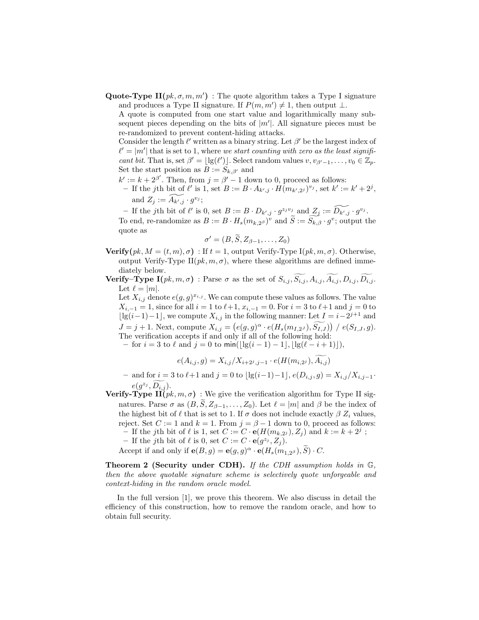Quote-Type  $\mathbf{H}(pk, \sigma, m, m')$ : The quote algorithm takes a Type I signature and produces a Type II signature. If  $P(m, m') \neq 1$ , then output  $\perp$ .

A quote is computed from one start value and logarithmically many subsequent pieces depending on the bits of  $|m'|$ . All signature pieces must be re-randomized to prevent content-hiding attacks.

Consider the length  $\ell'$  written as a binary string. Let  $\beta'$  be the largest index of  $\ell' = |m'|$  that is set to 1, where we start counting with zero as the least significant bit. That is, set  $\beta' = \lfloor \lg(\ell') \rfloor$ . Select random values  $v, v_{\beta'-1}, \ldots, v_0 \in \mathbb{Z}_p$ . Set the start position as  $B := S_{k,\beta'}$  and

- $k' := k + 2^{\beta'}$ . Then, from  $j = \beta' 1$  down to 0, proceed as follows:
- If the jth bit of  $\ell'$  is 1, set  $B := B \cdot A_{k',j} \cdot \widehat{H}(m_{k',2^j})^{v_j}$ , set  $k' := k' + 2^j$ , and  $Z_j := \widetilde{A_{k',j}} \cdot g^{v_j};$

- If the jth bit of  $\ell'$  is 0, set  $B := B \cdot D_{k',j} \cdot g^{z_j v_j}$  and  $Z_j := \widetilde{D_{k',j}} \cdot g^{v_j}$ .

To end, re-randomize as  $B := B \cdot H_s(m_{k,2^{\beta}})^v$  and  $\widetilde{S} := \widetilde{S_{k,\beta}} \cdot g^v$ ; output the quote as

$$
\sigma' = (B, \widetilde{S}, Z_{\beta-1}, \ldots, Z_0)
$$

**Verify**( $pk, M = (t, m), \sigma$ ) : If  $t = 1$ , output Verify-Type I( $pk, m, \sigma$ ). Otherwise, output Verify-Type II $(pk, m, \sigma)$ , where these algorithms are defined immediately below.

**Verify–Type I**( $pk, m, \sigma$ ) : Parse  $\sigma$  as the set of  $S_{i,j}, \widetilde{S_{i,j}}, A_{i,j}, \widetilde{A_{i,j}}, D_{i,j}, \widetilde{D_{i,j}}$ . Let  $\ell = |m|$ .

Let  $X_{i,j}$  denote  $e(g,g)^{x_{i,j}}$ . We can compute these values as follows. The value  $X_{i,-1} = 1$ , since for all  $i = 1$  to  $\ell+1$ ,  $x_{i,-1} = 0$ . For  $i = 3$  to  $\ell+1$  and  $j = 0$  to  $\lfloor \lg(i-1)-1 \rfloor$ , we compute  $X_{i,j}$  in the following manner: Let  $I = i-2^{j+1}$  and  $J = j + 1$ . Next, compute  $X_{i,j} = (e(g, g)^\alpha \cdot e(H_s(m_{I,2^J}), \tilde{S}_{I,J})) / e(S_{I,J}, g)$ . The verification accepts if and only if all of the following hold: – for  $i = 3$  to  $\ell$  and  $j = 0$  to min(|lg(i − 1) − 1|, |lg( $\ell - i + 1$ )|),

$$
e(A_{i,j}, g) = X_{i,j}/X_{i+2^j, j-1} \cdot e(H(m_{i,2^j}), \widetilde{A_{i,j}})
$$

– and for  $i = 3$  to  $\ell+1$  and  $j = 0$  to  $\lfloor \lg(i-1)-1 \rfloor$ ,  $e(D_{i,j}, g) = X_{i,j}/X_{i,j-1}$ .

- $e(g^{z_j}, \widetilde{D_{i,j}})$ .<br>**Verify-Type II**(*pk*, *m*, *σ*): We give the verification algorithm for Type II signatures. Parse  $\sigma$  as  $(B, \widetilde{S}, Z_{\beta-1}, \ldots, Z_0)$ . Let  $\ell = |m|$  and  $\beta$  be the index of the highest bit of  $\ell$  that is set to 1. If  $\sigma$  does not include exactly  $\beta Z_i$  values, reject. Set  $C := 1$  and  $k = 1$ . From  $j = \beta - 1$  down to 0, proceed as follows: If the jth bit of  $\ell$  is 1, set  $C := C \cdot e(H(m_{k,2^{j}}), Z_{j})$  and  $k := k + 2^{j}$ ;
	- If the jth bit of  $\ell$  is 0, set  $C := C \cdot e(g^{z_j}, Z_j)$ .

Accept if and only if  $\mathbf{e}(B,g) = \mathbf{e}(g,g)^{\alpha} \cdot \mathbf{e}(H_s(m_{1,2^{\beta}}), \widetilde{S}) \cdot C$ .

Theorem 2 (Security under CDH). If the CDH assumption holds in  $\mathbb{G}$ , then the above quotable signature scheme is selectively quote unforgeable and context-hiding in the random oracle model.

In the full version [1], we prove this theorem. We also discuss in detail the efficiency of this construction, how to remove the random oracle, and how to obtain full security.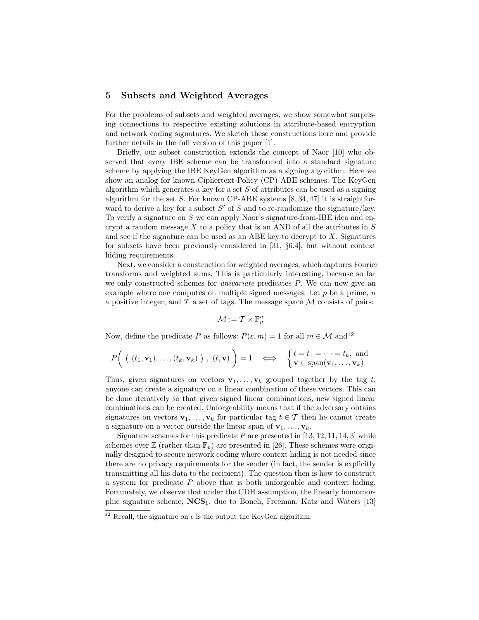# 5 Subsets and Weighted Averages

For the problems of subsets and weighted averages, we show somewhat surprising connections to respective existing solutions in attribute-based encryption and network coding signatures. We sketch these constructions here and provide further details in the full version of this paper [1].

Briefly, our subset construction extends the concept of Naor [10] who observed that every IBE scheme can be transformed into a standard signature scheme by applying the IBE KeyGen algorithm as a signing algorithm. Here we show an analog for known Ciphertext-Policy (CP) ABE schemes. The KeyGen algorithm which generates a key for a set  $S$  of attributes can be used as a signing algorithm for the set S. For known CP-ABE systems  $[8, 34, 47]$  it is straightforward to derive a key for a subset  $S'$  of S and to re-randomize the signature/key. To verify a signature on  $S$  we can apply Naor's signature-from-IBE idea and encrypt a random message  $X$  to a policy that is an AND of all the attributes in  $S$ and see if the signature can be used as an ABE key to decrypt to  $X$ . Signatures for subsets have been previously considered in [31, §6.4], but without context hiding requirements.

Next, we consider a construction for weighted averages, which captures Fourier transforms and weighted sums. This is particularly interesting, because so far we only constructed schemes for univariate predicates P. We can now give an example where one computes on multiple signed messages. Let  $p$  be a prime,  $n$ a positive integer, and  $\mathcal T$  a set of tags. The message space  $\mathcal M$  consists of pairs:

$$
\mathcal{M}:=\mathcal{T}\times\mathbb{F}_p^n
$$

Now, define the predicate P as follows:  $P(\varepsilon, m) = 1$  for all  $m \in \mathcal{M}$  and  $12$ 

$$
P\bigg(\begin{array}{c}\left((t_1,\mathbf{v}_1),\ldots,(t_k,\mathbf{v}_k)\right), (t,\mathbf{v})\end{array}\bigg)=1 \quad \Longleftrightarrow \quad \begin{cases} t=t_1=\cdots=t_k, \text{ and} \\ \mathbf{v}\in\text{span}(\mathbf{v}_1,\ldots,\mathbf{v}_k)\end{cases}
$$

Thus, given signatures on vectors  $\mathbf{v}_1, \ldots, \mathbf{v}_k$  grouped together by the tag t, anyone can create a signature on a linear combination of these vectors. This can be done iteratively so that given signed linear combinations, new signed linear combinations can be created. Unforgeability means that if the adversary obtains signatures on vectors  $\mathbf{v}_1, \ldots, \mathbf{v}_k$  for particular tag  $t \in \mathcal{T}$  then he cannot create a signature on a vector outside the linear span of  $\mathbf{v}_1, \ldots, \mathbf{v}_k$ .

Signature schemes for this predicate  $P$  are presented in [13, 12, 11, 14, 3] while schemes over  $\mathbb{Z}$  (rather than  $\mathbb{F}_p$ ) are presented in [26]. These schemes were originally designed to secure network coding where context hiding is not needed since there are no privacy requirements for the sender (in fact, the sender is explicitly transmitting all his data to the recipient). The question then is how to construct a system for predicate  $P$  above that is both unforgeable and context hiding. Fortunately, we observe that under the CDH assumption, the linearly homomorphic signature scheme,  $NCS_1$ , due to Boneh, Freeman, Katz and Waters [13]

<sup>&</sup>lt;sup>12</sup> Recall, the signature on  $\epsilon$  is the output the KeyGen algorithm.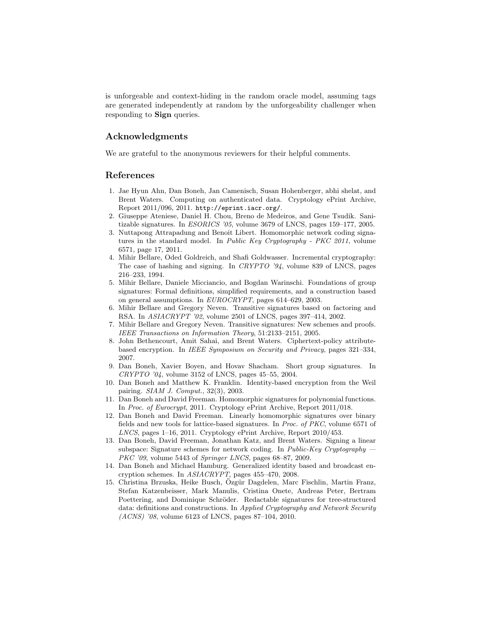is unforgeable and context-hiding in the random oracle model, assuming tags are generated independently at random by the unforgeability challenger when responding to Sign queries.

## Acknowledgments

We are grateful to the anonymous reviewers for their helpful comments.

## References

- 1. Jae Hyun Ahn, Dan Boneh, Jan Camenisch, Susan Hohenberger, abhi shelat, and Brent Waters. Computing on authenticated data. Cryptology ePrint Archive, Report 2011/096, 2011. http://eprint.iacr.org/.
- 2. Giuseppe Ateniese, Daniel H. Chou, Breno de Medeiros, and Gene Tsudik. Sanitizable signatures. In ESORICS '05, volume 3679 of LNCS, pages 159–177, 2005.
- 3. Nuttapong Attrapadung and Benoit Libert. Homomorphic network coding signatures in the standard model. In Public Key Cryptography - PKC 2011, volume 6571, page 17, 2011.
- 4. Mihir Bellare, Oded Goldreich, and Shafi Goldwasser. Incremental cryptography: The case of hashing and signing. In CRYPTO '94, volume 839 of LNCS, pages 216–233, 1994.
- 5. Mihir Bellare, Daniele Micciancio, and Bogdan Warinschi. Foundations of group signatures: Formal definitions, simplified requirements, and a construction based on general assumptions. In EUROCRYPT, pages 614–629, 2003.
- 6. Mihir Bellare and Gregory Neven. Transitive signatures based on factoring and RSA. In ASIACRYPT '02, volume 2501 of LNCS, pages 397–414, 2002.
- 7. Mihir Bellare and Gregory Neven. Transitive signatures: New schemes and proofs. IEEE Transactions on Information Theory, 51:2133–2151, 2005.
- 8. John Bethencourt, Amit Sahai, and Brent Waters. Ciphertext-policy attributebased encryption. In IEEE Symposium on Security and Privacy, pages 321–334, 2007.
- 9. Dan Boneh, Xavier Boyen, and Hovav Shacham. Short group signatures. In  $CRYPTO$  '04, volume 3152 of LNCS, pages 45-55, 2004.
- 10. Dan Boneh and Matthew K. Franklin. Identity-based encryption from the Weil pairing. SIAM J. Comput., 32(3), 2003.
- 11. Dan Boneh and David Freeman. Homomorphic signatures for polynomial functions. In Proc. of Eurocrypt, 2011. Cryptology ePrint Archive, Report 2011/018.
- 12. Dan Boneh and David Freeman. Linearly homomorphic signatures over binary fields and new tools for lattice-based signatures. In Proc. of PKC, volume 6571 of LNCS, pages 1–16, 2011. Cryptology ePrint Archive, Report 2010/453.
- 13. Dan Boneh, David Freeman, Jonathan Katz, and Brent Waters. Signing a linear subspace: Signature schemes for network coding. In *Public-Key Cryptography* – PKC '09, volume 5443 of Springer LNCS, pages 68–87, 2009.
- 14. Dan Boneh and Michael Hamburg. Generalized identity based and broadcast encryption schemes. In ASIACRYPT, pages 455–470, 2008.
- 15. Christina Brzuska, Heike Busch, Özgür Dagdelen, Marc Fischlin, Martin Franz, Stefan Katzenbeisser, Mark Manulis, Cristina Onete, Andreas Peter, Bertram Poettering, and Dominique Schröder. Redactable signatures for tree-structured data: definitions and constructions. In Applied Cryptography and Network Security (ACNS) '08, volume 6123 of LNCS, pages 87–104, 2010.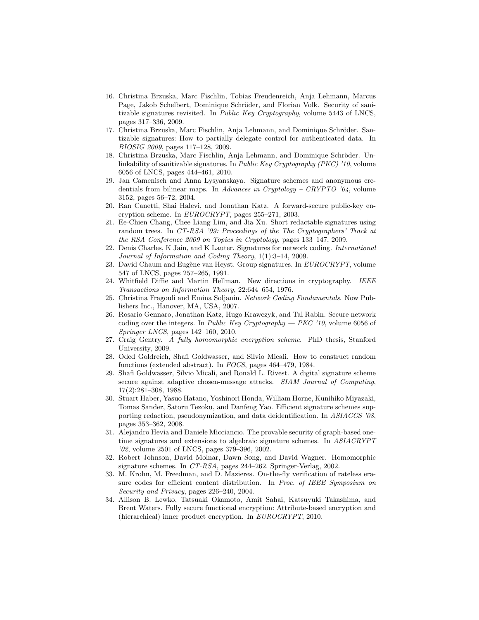- 16. Christina Brzuska, Marc Fischlin, Tobias Freudenreich, Anja Lehmann, Marcus Page, Jakob Schelbert, Dominique Schröder, and Florian Volk. Security of sanitizable signatures revisited. In Public Key Cryptography, volume 5443 of LNCS, pages 317–336, 2009.
- 17. Christina Brzuska, Marc Fischlin, Anja Lehmann, and Dominique Schröder. Santizable signatures: How to partially delegate control for authenticated data. In BIOSIG 2009, pages 117–128, 2009.
- 18. Christina Brzuska, Marc Fischlin, Anja Lehmann, and Dominique Schröder. Unlinkability of sanitizable signatures. In Public Key Cryptography (PKC) '10, volume 6056 of LNCS, pages 444–461, 2010.
- 19. Jan Camenisch and Anna Lysyanskaya. Signature schemes and anonymous credentials from bilinear maps. In Advances in Cryptology – CRYPTO '04, volume 3152, pages 56–72, 2004.
- 20. Ran Canetti, Shai Halevi, and Jonathan Katz. A forward-secure public-key encryption scheme. In EUROCRYPT, pages 255–271, 2003.
- 21. Ee-Chien Chang, Chee Liang Lim, and Jia Xu. Short redactable signatures using random trees. In CT-RSA '09: Proceedings of the The Cryptographers' Track at the RSA Conference 2009 on Topics in Cryptology, pages 133–147, 2009.
- 22. Denis Charles, K Jain, and K Lauter. Signatures for network coding. International Journal of Information and Coding Theory, 1(1):3–14, 2009.
- 23. David Chaum and Eugène van Heyst. Group signatures. In  $EUROCRYPT$ , volume 547 of LNCS, pages 257–265, 1991.
- 24. Whitfield Diffie and Martin Hellman. New directions in cryptography. IEEE Transactions on Information Theory, 22:644–654, 1976.
- 25. Christina Fragouli and Emina Soljanin. Network Coding Fundamentals. Now Publishers Inc., Hanover, MA, USA, 2007.
- 26. Rosario Gennaro, Jonathan Katz, Hugo Krawczyk, and Tal Rabin. Secure network coding over the integers. In Public Key Cryptography  $-$  PKC '10, volume 6056 of Springer LNCS, pages 142–160, 2010.
- 27. Craig Gentry. A fully homomorphic encryption scheme. PhD thesis, Stanford University, 2009.
- 28. Oded Goldreich, Shafi Goldwasser, and Silvio Micali. How to construct random functions (extended abstract). In FOCS, pages 464–479, 1984.
- 29. Shafi Goldwasser, Silvio Micali, and Ronald L. Rivest. A digital signature scheme secure against adaptive chosen-message attacks. SIAM Journal of Computing, 17(2):281–308, 1988.
- 30. Stuart Haber, Yasuo Hatano, Yoshinori Honda, William Horne, Kunihiko Miyazaki, Tomas Sander, Satoru Tezoku, and Danfeng Yao. Efficient signature schemes supporting redaction, pseudonymization, and data deidentification. In ASIACCS '08, pages 353–362, 2008.
- 31. Alejandro Hevia and Daniele Micciancio. The provable security of graph-based onetime signatures and extensions to algebraic signature schemes. In ASIACRYPT '02, volume 2501 of LNCS, pages 379–396, 2002.
- 32. Robert Johnson, David Molnar, Dawn Song, and David Wagner. Homomorphic signature schemes. In CT-RSA, pages 244–262. Springer-Verlag, 2002.
- 33. M. Krohn, M. Freedman, and D. Mazieres. On-the-fly verification of rateless erasure codes for efficient content distribution. In Proc. of IEEE Symposium on Security and Privacy, pages  $226-240$ , 2004.
- 34. Allison B. Lewko, Tatsuaki Okamoto, Amit Sahai, Katsuyuki Takashima, and Brent Waters. Fully secure functional encryption: Attribute-based encryption and (hierarchical) inner product encryption. In EUROCRYPT, 2010.